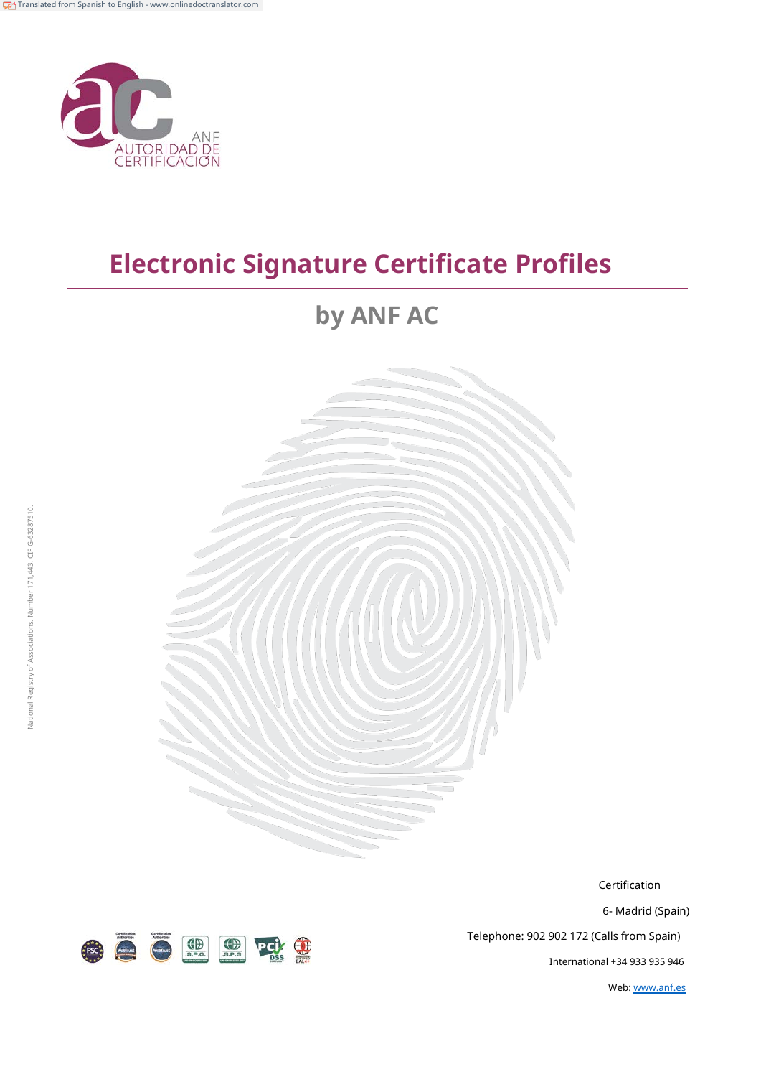

# **by ANF AC**



Certification

6- Madrid (Spain)

Telephone: 902 902 172 (Calls from Spain)

International +34 933 935 946

Web: [www.anf.es](http://www.anf.es/)

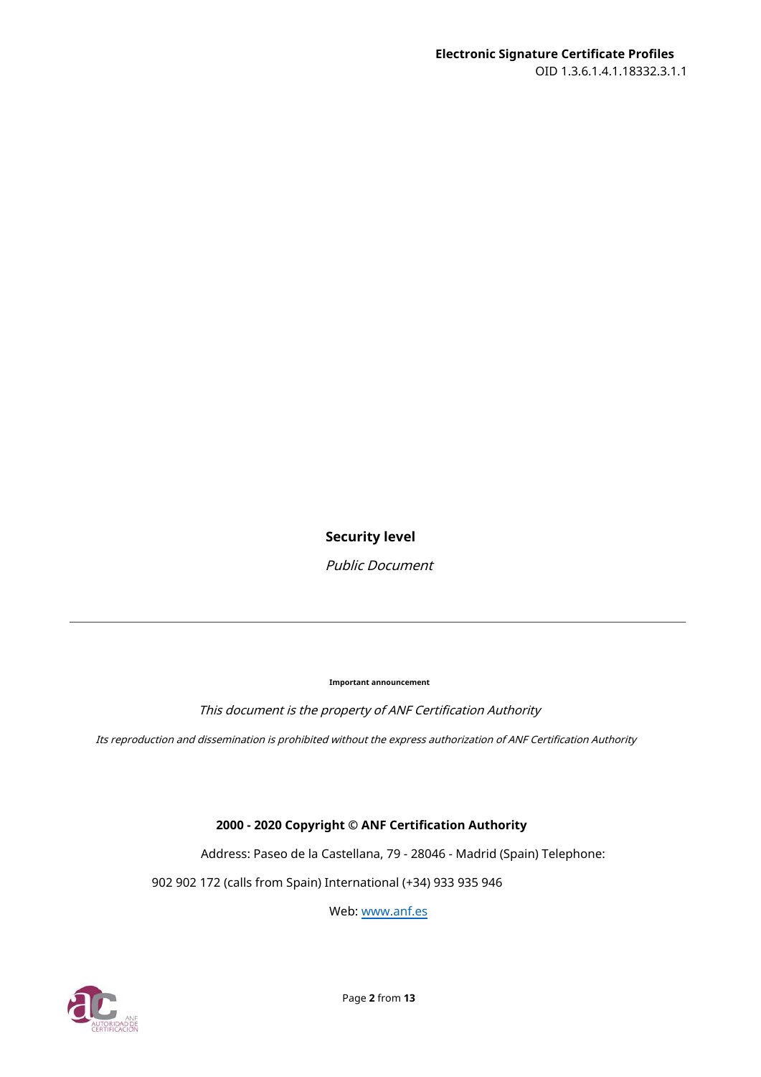#### **Security level**

Public Document

**Important announcement**

This document is the property of ANF Certification Authority

Its reproduction and dissemination is prohibited without the express authorization of ANF Certification Authority

#### **2000 - 2020 Copyright © ANF Certification Authority**

Address: Paseo de la Castellana, 79 - 28046 - Madrid (Spain) Telephone:

902 902 172 (calls from Spain) International (+34) 933 935 946

Web: [www.anf.es](http://www.anf.es/)

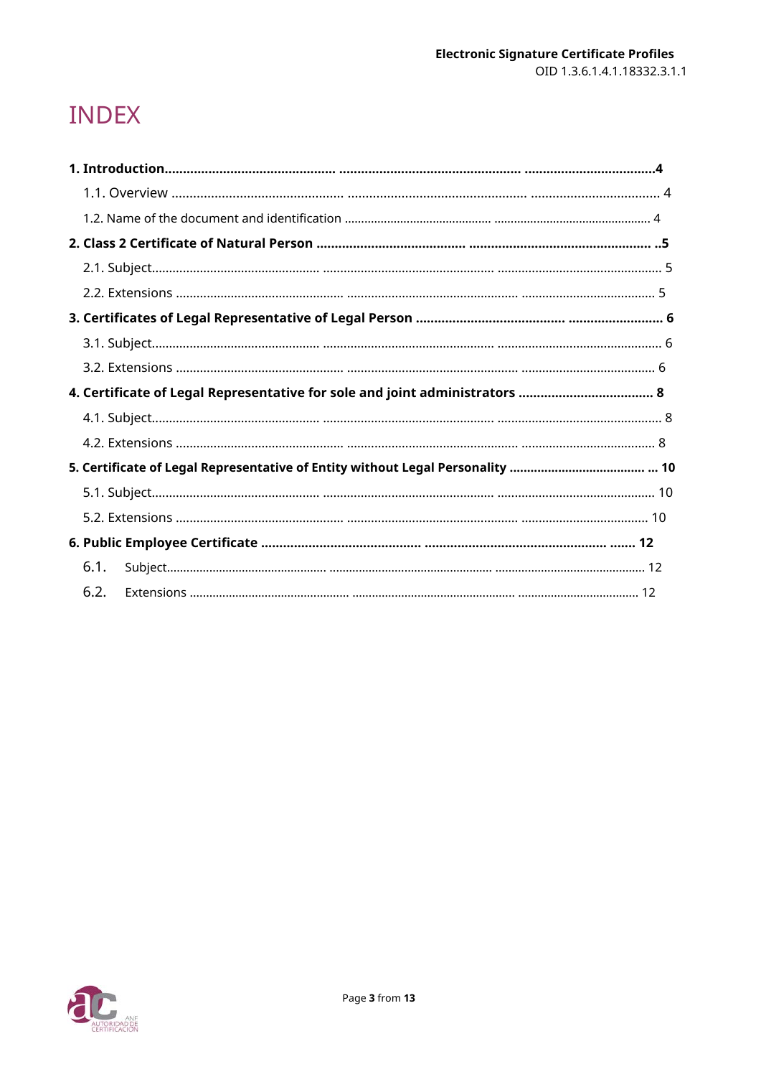# **INDEX**

| 4. Certificate of Legal Representative for sole and joint administrators  8 |  |
|-----------------------------------------------------------------------------|--|
|                                                                             |  |
|                                                                             |  |
|                                                                             |  |
|                                                                             |  |
|                                                                             |  |
|                                                                             |  |
| 6.1.                                                                        |  |
| 6.2.                                                                        |  |

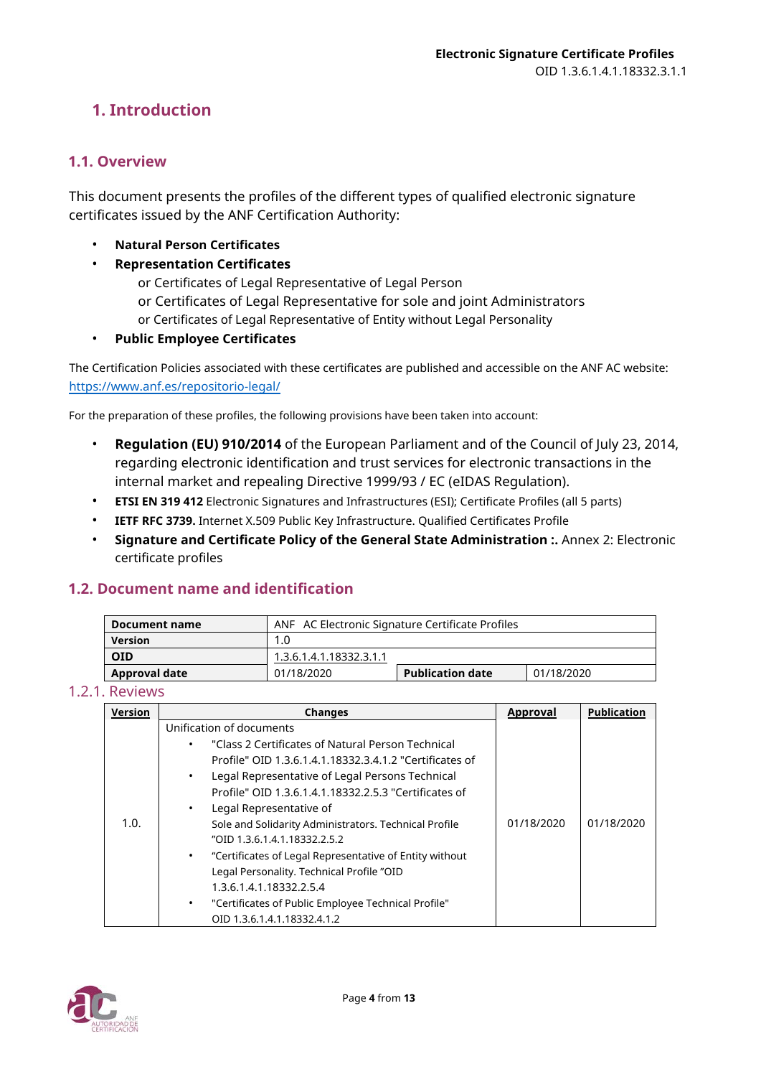# <span id="page-3-0"></span>**1. Introduction**

#### <span id="page-3-1"></span>**1.1. Overview**

This document presents the profiles of the different types of qualified electronic signature certificates issued by the ANF Certification Authority:

- **Natural Person Certificates**
- **Representation Certificates**
	- or Certificates of Legal Representative of Legal Person
	- or Certificates of Legal Representative for sole and joint Administrators
	- or Certificates of Legal Representative of Entity without Legal Personality
- **Public Employee Certificates**

The Certification Policies associated with these certificates are published and accessible on the ANF AC website: <https://www.anf.es/repositorio-legal/>

For the preparation of these profiles, the following provisions have been taken into account:

- **Regulation (EU) 910/2014** of the European Parliament and of the Council of July 23, 2014, regarding electronic identification and trust services for electronic transactions in the internal market and repealing Directive 1999/93 / EC (eIDAS Regulation).
- **ETSI EN 319 412** Electronic Signatures and Infrastructures (ESI); Certificate Profiles (all 5 parts)
- **IETF RFC 3739.** Internet X.509 Public Key Infrastructure. Qualified Certificates Profile
- **Signature and Certificate Policy of the General State Administration :.** Annex 2: Electronic certificate profiles

#### <span id="page-3-2"></span>**1.2. Document name and identification**

| Document name        | ANF AC Electronic Signature Certificate Profiles |                         |            |
|----------------------|--------------------------------------------------|-------------------------|------------|
| <b>Version</b>       | 1.0                                              |                         |            |
| <b>OID</b>           | 1.3.6.1.4.1.18332.3.1.1                          |                         |            |
| <b>Approval date</b> | 01/18/2020                                       | <b>Publication date</b> | 01/18/2020 |

#### 1.2.1. Reviews

| Version | <b>Changes</b>                                               | Approval   | <b>Publication</b> |
|---------|--------------------------------------------------------------|------------|--------------------|
|         | Unification of documents                                     |            |                    |
|         | "Class 2 Certificates of Natural Person Technical            |            |                    |
|         | Profile" OID 1.3.6.1.4.1.18332.3.4.1.2 "Certificates of      |            |                    |
|         | Legal Representative of Legal Persons Technical              |            |                    |
|         | Profile" OID 1.3.6.1.4.1.18332.2.5.3 "Certificates of        |            |                    |
|         | Legal Representative of<br>٠                                 |            |                    |
| 1.0.    | Sole and Solidarity Administrators. Technical Profile        | 01/18/2020 | 01/18/2020         |
|         | "OID 1.3.6.1.4.1.18332.2.5.2                                 |            |                    |
|         | "Certificates of Legal Representative of Entity without<br>٠ |            |                    |
|         | Legal Personality. Technical Profile "OID                    |            |                    |
|         | 1.3.6.1.4.1.18332.2.5.4                                      |            |                    |
|         | "Certificates of Public Employee Technical Profile"<br>٠     |            |                    |
|         | OID 1.3.6.1.4.1.18332.4.1.2                                  |            |                    |

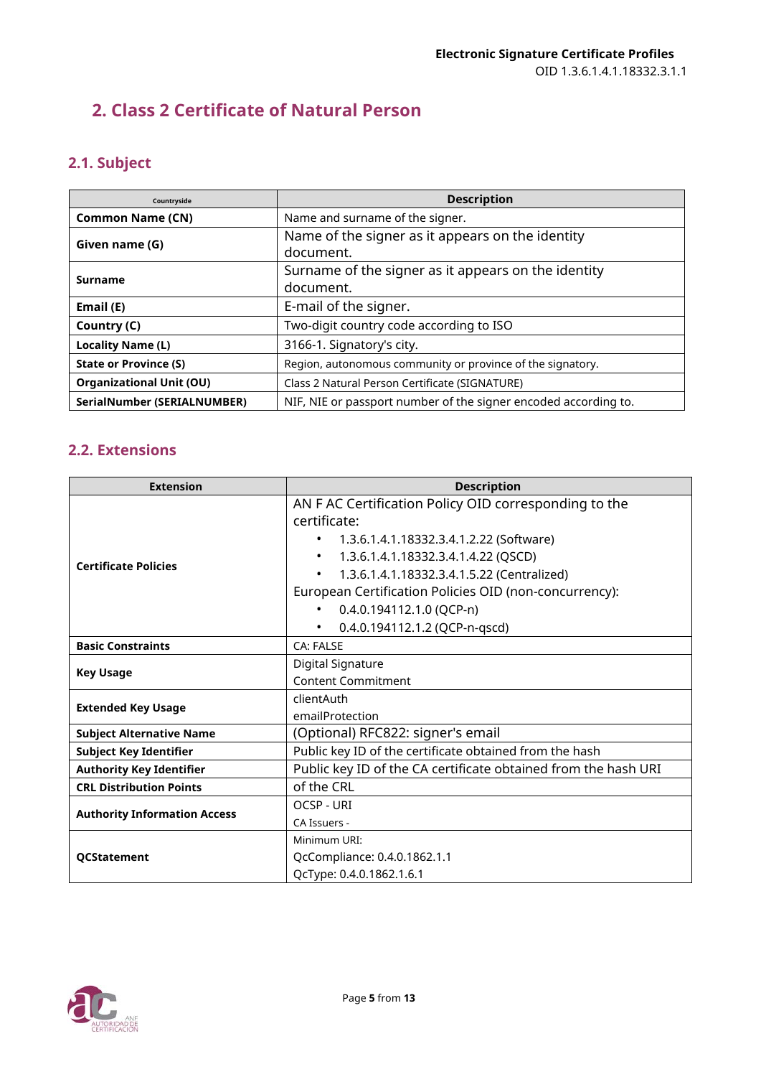# <span id="page-4-0"></span>**2. Class 2 Certificate of Natural Person**

# <span id="page-4-1"></span>**2.1. Subject**

| Countryside                        | <b>Description</b>                                               |
|------------------------------------|------------------------------------------------------------------|
| <b>Common Name (CN)</b>            | Name and surname of the signer.                                  |
| Given name (G)                     | Name of the signer as it appears on the identity<br>document.    |
| <b>Surname</b>                     | Surname of the signer as it appears on the identity<br>document. |
| Email (E)                          | E-mail of the signer.                                            |
| Country (C)                        | Two-digit country code according to ISO                          |
| <b>Locality Name (L)</b>           | 3166-1. Signatory's city.                                        |
| <b>State or Province (S)</b>       | Region, autonomous community or province of the signatory.       |
| <b>Organizational Unit (OU)</b>    | Class 2 Natural Person Certificate (SIGNATURE)                   |
| <b>SerialNumber (SERIALNUMBER)</b> | NIF, NIE or passport number of the signer encoded according to.  |

<span id="page-4-2"></span>

| <b>Extension</b>                    | <b>Description</b>                                             |  |
|-------------------------------------|----------------------------------------------------------------|--|
|                                     | AN F AC Certification Policy OID corresponding to the          |  |
|                                     | certificate:                                                   |  |
|                                     | 1.3.6.1.4.1.18332.3.4.1.2.22 (Software)                        |  |
|                                     | 1.3.6.1.4.1.18332.3.4.1.4.22 (QSCD)<br>$\bullet$               |  |
| <b>Certificate Policies</b>         | 1.3.6.1.4.1.18332.3.4.1.5.22 (Centralized)<br>$\bullet$        |  |
|                                     | European Certification Policies OID (non-concurrency):         |  |
|                                     | $0.4.0.194112.1.0$ (QCP-n)<br>$\bullet$                        |  |
|                                     | 0.4.0.194112.1.2 (QCP-n-qscd)<br>$\bullet$                     |  |
| <b>Basic Constraints</b>            | <b>CA: FALSE</b>                                               |  |
|                                     | Digital Signature                                              |  |
| <b>Key Usage</b>                    | <b>Content Commitment</b>                                      |  |
| <b>Extended Key Usage</b>           | clientAuth                                                     |  |
|                                     | emailProtection                                                |  |
| <b>Subject Alternative Name</b>     | (Optional) RFC822: signer's email                              |  |
| <b>Subject Key Identifier</b>       | Public key ID of the certificate obtained from the hash        |  |
| <b>Authority Key Identifier</b>     | Public key ID of the CA certificate obtained from the hash URI |  |
| <b>CRL Distribution Points</b>      | of the CRL                                                     |  |
| <b>Authority Information Access</b> | <b>OCSP - URI</b>                                              |  |
|                                     | CA Issuers -                                                   |  |
| <b>QCStatement</b>                  | Minimum URI:                                                   |  |
|                                     | QcCompliance: 0.4.0.1862.1.1                                   |  |
|                                     | QcType: 0.4.0.1862.1.6.1                                       |  |

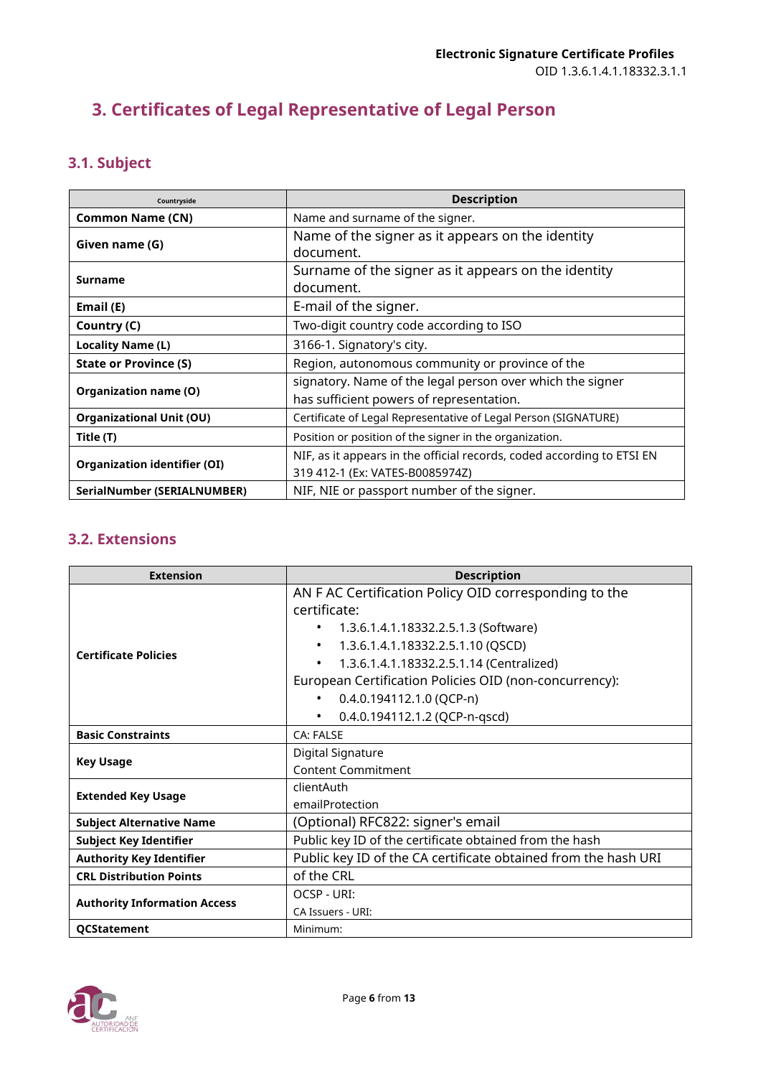# <span id="page-5-0"></span>**3. Certificates of Legal Representative of Legal Person**

# <span id="page-5-1"></span>**3.1. Subject**

| Countryside                         | <b>Description</b>                                                     |
|-------------------------------------|------------------------------------------------------------------------|
| <b>Common Name (CN)</b>             | Name and surname of the signer.                                        |
| Given name (G)                      | Name of the signer as it appears on the identity                       |
|                                     | document.                                                              |
|                                     | Surname of the signer as it appears on the identity                    |
| <b>Surname</b>                      | document.                                                              |
| Email (E)                           | E-mail of the signer.                                                  |
| Country (C)                         | Two-digit country code according to ISO                                |
| <b>Locality Name (L)</b>            | 3166-1. Signatory's city.                                              |
| <b>State or Province (S)</b>        | Region, autonomous community or province of the                        |
|                                     | signatory. Name of the legal person over which the signer              |
| Organization name (O)               | has sufficient powers of representation.                               |
| <b>Organizational Unit (OU)</b>     | Certificate of Legal Representative of Legal Person (SIGNATURE)        |
| Title (T)                           | Position or position of the signer in the organization.                |
| <b>Organization identifier (OI)</b> | NIF, as it appears in the official records, coded according to ETSI EN |
|                                     | 319 412-1 (Ex: VATES-B0085974Z)                                        |
| SerialNumber (SERIALNUMBER)         | NIF, NIE or passport number of the signer.                             |

<span id="page-5-2"></span>

| <b>Extension</b>                    | <b>Description</b>                                             |  |
|-------------------------------------|----------------------------------------------------------------|--|
|                                     | AN F AC Certification Policy OID corresponding to the          |  |
|                                     | certificate:                                                   |  |
|                                     | 1.3.6.1.4.1.18332.2.5.1.3 (Software)<br>$\bullet$              |  |
| <b>Certificate Policies</b>         | 1.3.6.1.4.1.18332.2.5.1.10 (QSCD)<br>$\bullet$                 |  |
|                                     | 1.3.6.1.4.1.18332.2.5.1.14 (Centralized)<br>$\bullet$          |  |
|                                     | European Certification Policies OID (non-concurrency):         |  |
|                                     | 0.4.0.194112.1.0 (QCP-n)                                       |  |
|                                     | 0.4.0.194112.1.2 (QCP-n-qscd)<br>$\bullet$                     |  |
| <b>Basic Constraints</b>            | CA: FAI SF                                                     |  |
|                                     | Digital Signature                                              |  |
| <b>Key Usage</b>                    | <b>Content Commitment</b>                                      |  |
|                                     | clientAuth                                                     |  |
| <b>Extended Key Usage</b>           | emailProtection                                                |  |
| <b>Subject Alternative Name</b>     | (Optional) RFC822: signer's email                              |  |
| <b>Subject Key Identifier</b>       | Public key ID of the certificate obtained from the hash        |  |
| <b>Authority Key Identifier</b>     | Public key ID of the CA certificate obtained from the hash URI |  |
| <b>CRL Distribution Points</b>      | of the CRL                                                     |  |
|                                     | OCSP - URI:                                                    |  |
| <b>Authority Information Access</b> | CA Issuers - URI:                                              |  |
| QCStatement                         | Minimum:                                                       |  |

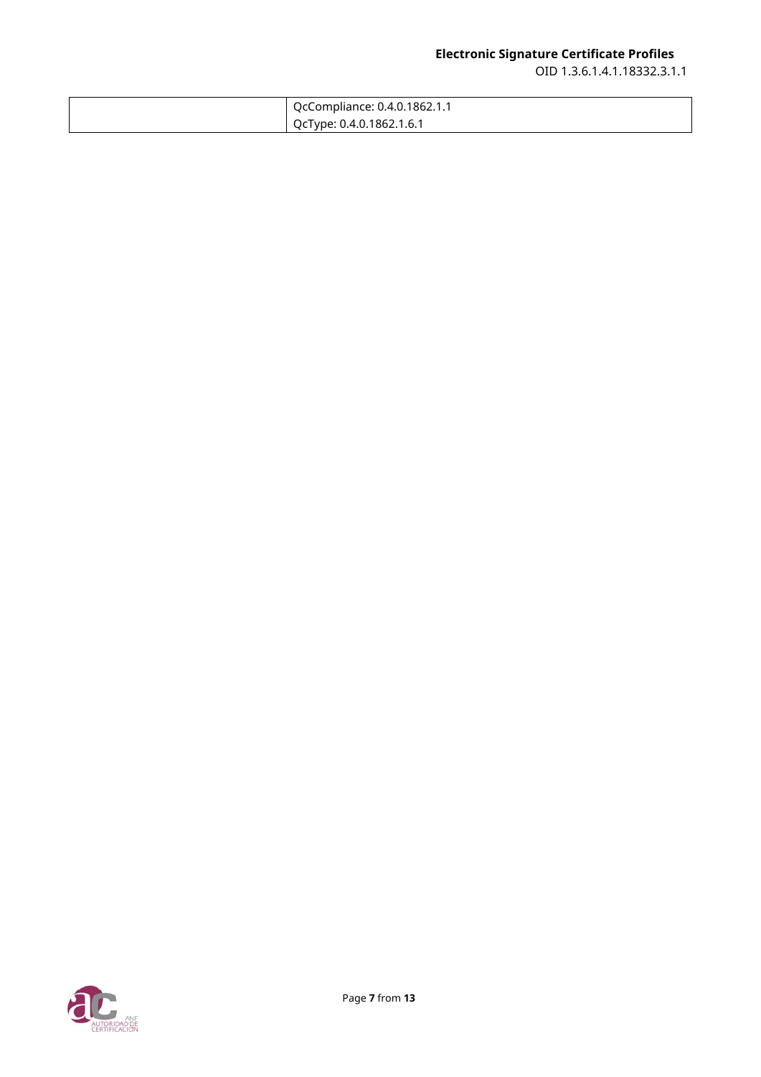| QcCompliance: 0.4.0.1862.1.1 |
|------------------------------|
| QcType: 0.4.0.1862.1.6.1     |

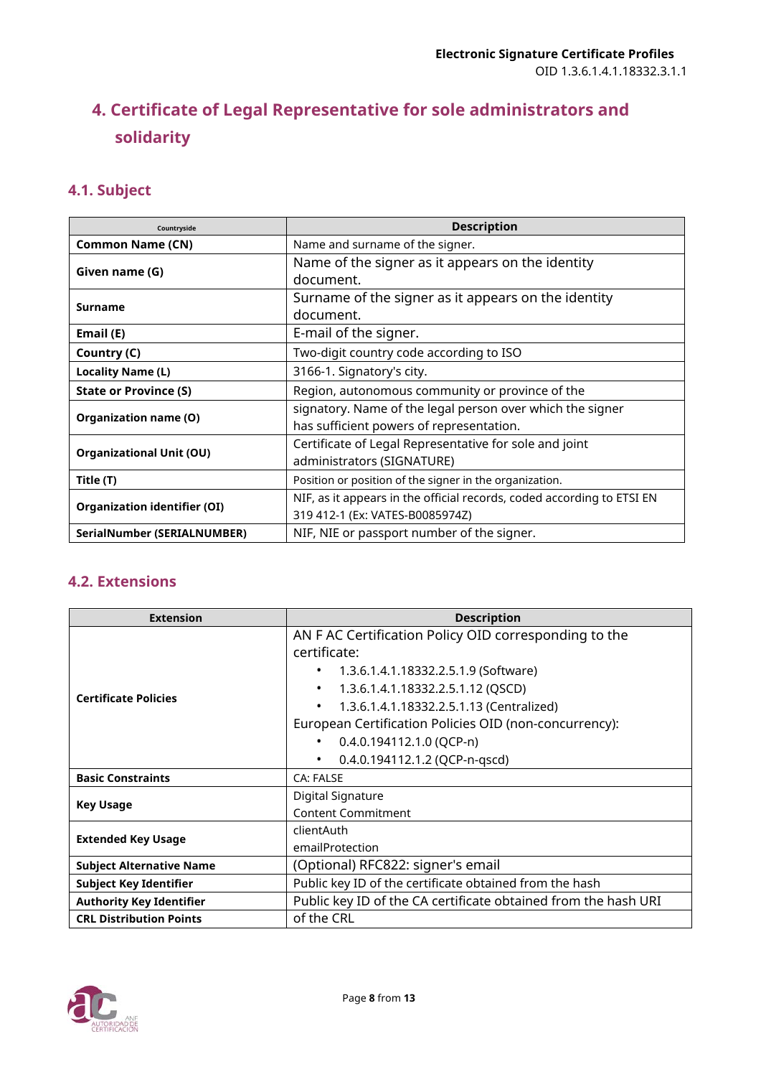# <span id="page-7-0"></span>**4. Certificate of Legal Representative for sole administrators and solidarity**

## <span id="page-7-1"></span>**4.1. Subject**

| Countryside                         | <b>Description</b>                                                     |
|-------------------------------------|------------------------------------------------------------------------|
| <b>Common Name (CN)</b>             | Name and surname of the signer.                                        |
| Given name (G)                      | Name of the signer as it appears on the identity                       |
|                                     | document.                                                              |
|                                     | Surname of the signer as it appears on the identity                    |
| <b>Surname</b>                      | document.                                                              |
| Email (E)                           | E-mail of the signer.                                                  |
| Country (C)                         | Two-digit country code according to ISO                                |
| Locality Name (L)                   | 3166-1. Signatory's city.                                              |
| <b>State or Province (S)</b>        | Region, autonomous community or province of the                        |
|                                     | signatory. Name of the legal person over which the signer              |
| Organization name (O)               | has sufficient powers of representation.                               |
| <b>Organizational Unit (OU)</b>     | Certificate of Legal Representative for sole and joint                 |
|                                     | administrators (SIGNATURE)                                             |
| Title (T)                           | Position or position of the signer in the organization.                |
| <b>Organization identifier (OI)</b> | NIF, as it appears in the official records, coded according to ETSI EN |
|                                     | 319 412-1 (Ex: VATES-B0085974Z)                                        |
| SerialNumber (SERIALNUMBER)         | NIF, NIE or passport number of the signer.                             |

<span id="page-7-2"></span>

| <b>Extension</b>                | <b>Description</b>                                                    |  |
|---------------------------------|-----------------------------------------------------------------------|--|
|                                 | AN F AC Certification Policy OID corresponding to the<br>certificate: |  |
|                                 | 1.3.6.1.4.1.18332.2.5.1.9 (Software)                                  |  |
|                                 | 1.3.6.1.4.1.18332.2.5.1.12 (QSCD)                                     |  |
| <b>Certificate Policies</b>     | 1.3.6.1.4.1.18332.2.5.1.13 (Centralized)                              |  |
|                                 | European Certification Policies OID (non-concurrency):                |  |
|                                 | 0.4.0.194112.1.0 (QCP-n)                                              |  |
|                                 | 0.4.0.194112.1.2 (QCP-n-qscd)<br>$\bullet$                            |  |
| <b>Basic Constraints</b>        | CA: FALSE                                                             |  |
|                                 | <b>Digital Signature</b>                                              |  |
| <b>Key Usage</b>                | <b>Content Commitment</b>                                             |  |
|                                 | clientAuth                                                            |  |
| <b>Extended Key Usage</b>       | emailProtection                                                       |  |
| <b>Subject Alternative Name</b> | (Optional) RFC822: signer's email                                     |  |
| <b>Subject Key Identifier</b>   | Public key ID of the certificate obtained from the hash               |  |
| <b>Authority Key Identifier</b> | Public key ID of the CA certificate obtained from the hash URI        |  |
| <b>CRL Distribution Points</b>  | of the CRL                                                            |  |

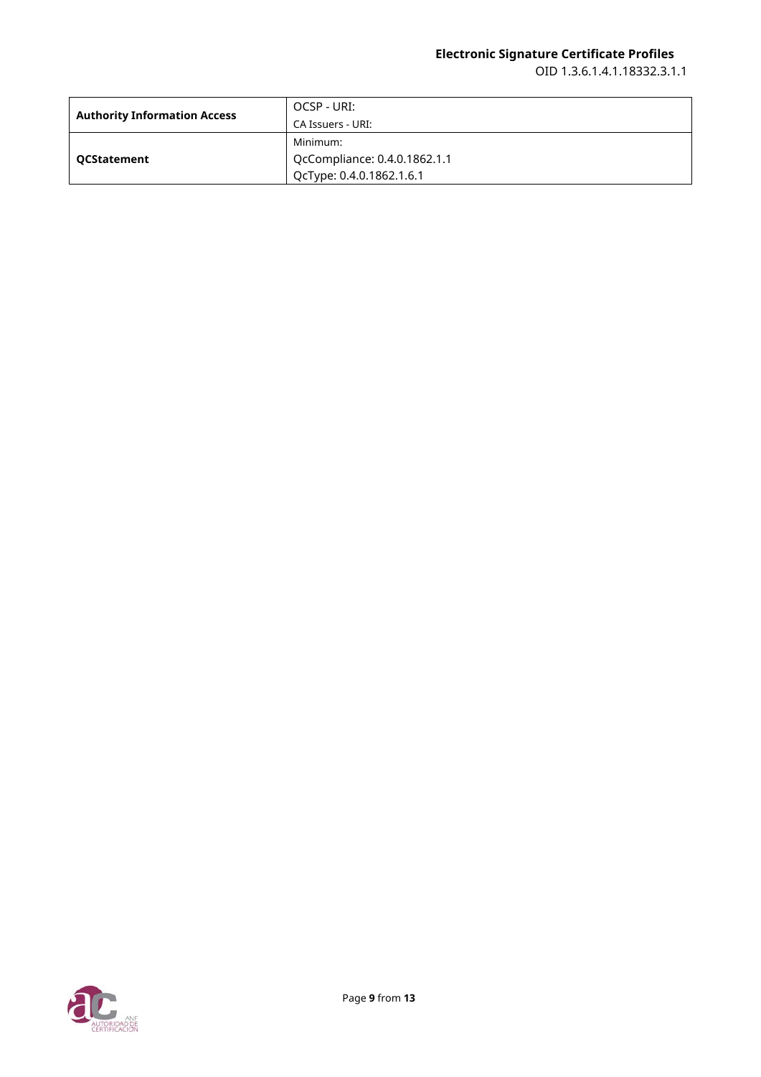| <b>Authority Information Access</b> | OCSP - URI:                  |
|-------------------------------------|------------------------------|
|                                     | CA Issuers - URI:            |
| <b>QCStatement</b>                  | Minimum:                     |
|                                     | QcCompliance: 0.4.0.1862.1.1 |
|                                     | QcType: 0.4.0.1862.1.6.1     |

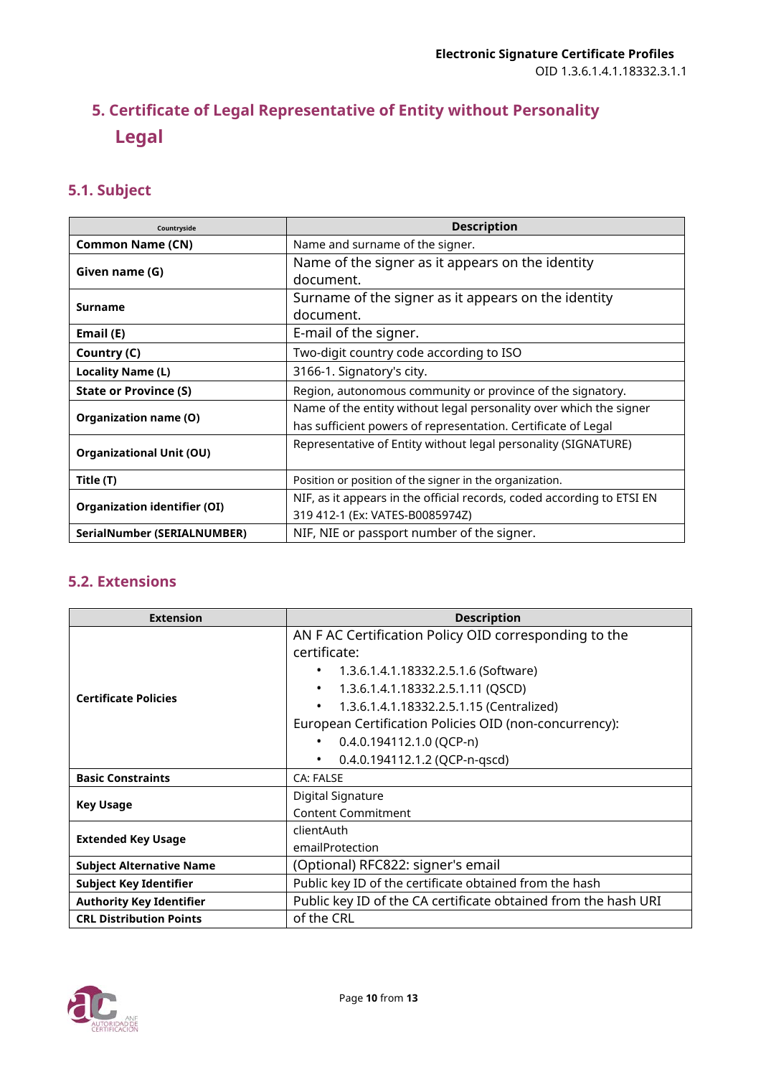# <span id="page-9-0"></span>**5. Certificate of Legal Representative of Entity without Personality Legal**

## <span id="page-9-1"></span>**5.1. Subject**

| Countryside                         | <b>Description</b>                                                     |
|-------------------------------------|------------------------------------------------------------------------|
| <b>Common Name (CN)</b>             | Name and surname of the signer.                                        |
|                                     | Name of the signer as it appears on the identity                       |
| Given name (G)                      | document.                                                              |
| <b>Surname</b>                      | Surname of the signer as it appears on the identity                    |
|                                     | document.                                                              |
| Email (E)                           | E-mail of the signer.                                                  |
| Country (C)                         | Two-digit country code according to ISO                                |
| Locality Name (L)                   | 3166-1. Signatory's city.                                              |
| <b>State or Province (S)</b>        | Region, autonomous community or province of the signatory.             |
|                                     | Name of the entity without legal personality over which the signer     |
| Organization name (O)               | has sufficient powers of representation. Certificate of Legal          |
| <b>Organizational Unit (OU)</b>     | Representative of Entity without legal personality (SIGNATURE)         |
|                                     |                                                                        |
| Title (T)                           | Position or position of the signer in the organization.                |
| <b>Organization identifier (OI)</b> | NIF, as it appears in the official records, coded according to ETSI EN |
|                                     | 319 412-1 (Ex: VATES-B0085974Z)                                        |
| SerialNumber (SERIALNUMBER)         | NIF, NIE or passport number of the signer.                             |

<span id="page-9-2"></span>

| <b>Extension</b>                | <b>Description</b>                                                    |
|---------------------------------|-----------------------------------------------------------------------|
| <b>Certificate Policies</b>     | AN F AC Certification Policy OID corresponding to the<br>certificate: |
|                                 | 1.3.6.1.4.1.18332.2.5.1.6 (Software)                                  |
|                                 | 1.3.6.1.4.1.18332.2.5.1.11 (QSCD)                                     |
|                                 | 1.3.6.1.4.1.18332.2.5.1.15 (Centralized)                              |
|                                 | European Certification Policies OID (non-concurrency):                |
|                                 | 0.4.0.194112.1.0 (QCP-n)                                              |
|                                 | 0.4.0.194112.1.2 (QCP-n-qscd)                                         |
| <b>Basic Constraints</b>        | CA: FALSE                                                             |
| <b>Key Usage</b>                | Digital Signature                                                     |
|                                 | <b>Content Commitment</b>                                             |
| <b>Extended Key Usage</b>       | clientAuth                                                            |
|                                 | emailProtection                                                       |
| <b>Subject Alternative Name</b> | (Optional) RFC822: signer's email                                     |
| <b>Subject Key Identifier</b>   | Public key ID of the certificate obtained from the hash               |
| <b>Authority Key Identifier</b> | Public key ID of the CA certificate obtained from the hash URI        |
| <b>CRL Distribution Points</b>  | of the CRL                                                            |

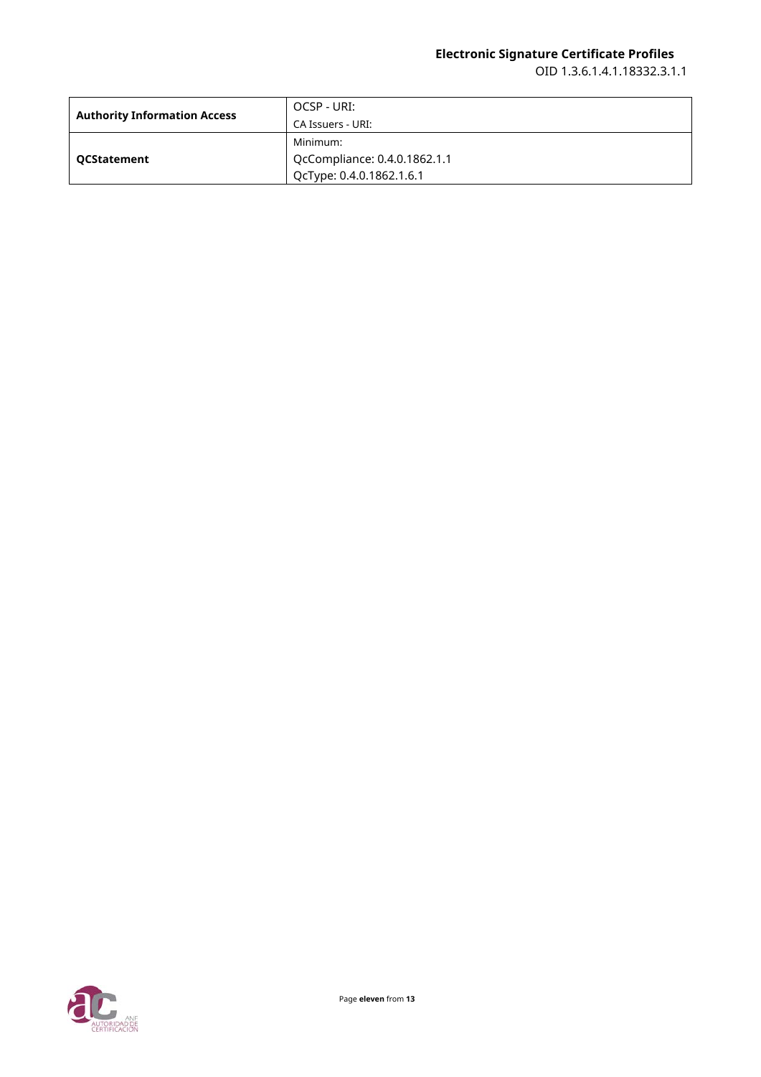| <b>Authority Information Access</b> | OCSP - URI:                  |
|-------------------------------------|------------------------------|
|                                     | CA Issuers - URI:            |
| <b>QCStatement</b>                  | Minimum:                     |
|                                     | QcCompliance: 0.4.0.1862.1.1 |
|                                     | QcType: 0.4.0.1862.1.6.1     |

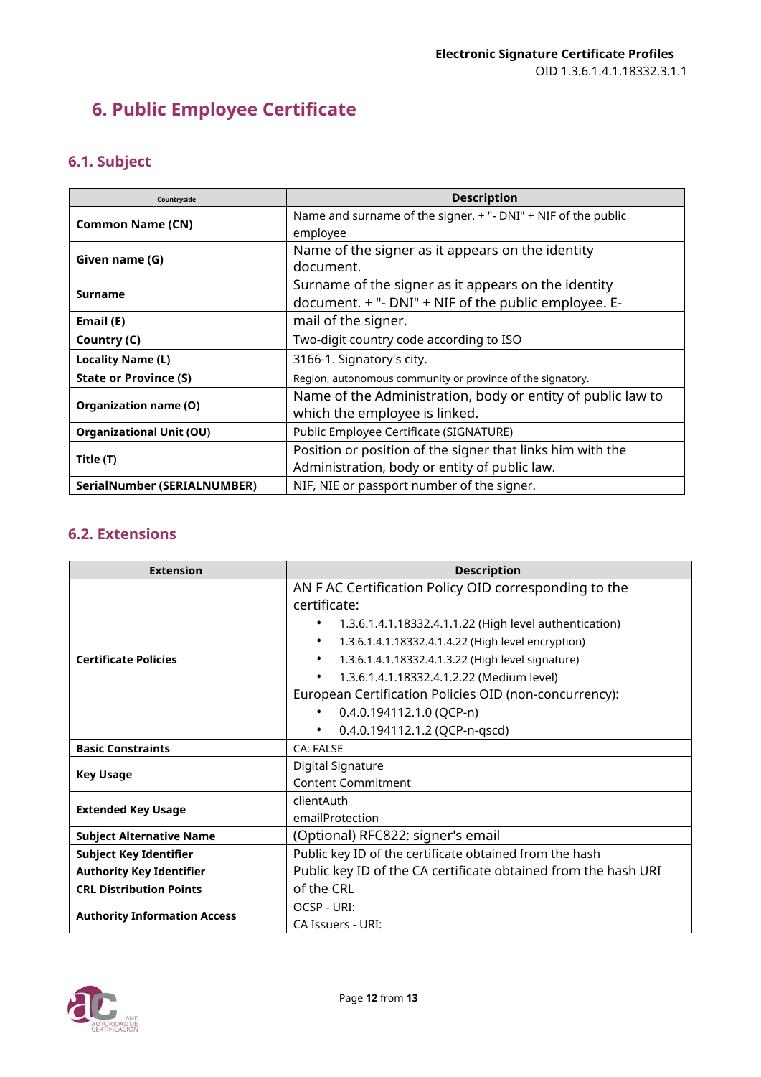# <span id="page-11-0"></span>**6. Public Employee Certificate**

# <span id="page-11-1"></span>**6.1. Subject**

| Countryside                     | <b>Description</b>                                            |
|---------------------------------|---------------------------------------------------------------|
| <b>Common Name (CN)</b>         | Name and surname of the signer. + "- DNI" + NIF of the public |
|                                 | employee                                                      |
| Given name (G)                  | Name of the signer as it appears on the identity              |
|                                 | document.                                                     |
| Surname                         | Surname of the signer as it appears on the identity           |
|                                 | document. + "- DNI" + NIF of the public employee. E-          |
| Email (E)                       | mail of the signer.                                           |
| Country (C)                     | Two-digit country code according to ISO                       |
| <b>Locality Name (L)</b>        | 3166-1. Signatory's city.                                     |
| <b>State or Province (S)</b>    | Region, autonomous community or province of the signatory.    |
| Organization name (O)           | Name of the Administration, body or entity of public law to   |
|                                 | which the employee is linked.                                 |
| <b>Organizational Unit (OU)</b> | Public Employee Certificate (SIGNATURE)                       |
| Title (T)                       | Position or position of the signer that links him with the    |
|                                 | Administration, body or entity of public law.                 |
| SerialNumber (SERIALNUMBER)     | NIF, NIE or passport number of the signer.                    |

<span id="page-11-2"></span>

| <b>Extension</b>                    | <b>Description</b>                                              |
|-------------------------------------|-----------------------------------------------------------------|
| <b>Certificate Policies</b>         | AN F AC Certification Policy OID corresponding to the           |
|                                     | certificate:                                                    |
|                                     | 1.3.6.1.4.1.18332.4.1.1.22 (High level authentication)          |
|                                     | 1.3.6.1.4.1.18332.4.1.4.22 (High level encryption)<br>$\bullet$ |
|                                     | 1.3.6.1.4.1.18332.4.1.3.22 (High level signature)<br>$\bullet$  |
|                                     | 1.3.6.1.4.1.18332.4.1.2.22 (Medium level)<br>$\bullet$          |
|                                     | European Certification Policies OID (non-concurrency):          |
|                                     | 0.4.0.194112.1.0 (QCP-n)<br>$\bullet$                           |
|                                     | 0.4.0.194112.1.2 (QCP-n-qscd)<br>$\bullet$                      |
| <b>Basic Constraints</b>            | CA: FALSE                                                       |
| <b>Key Usage</b>                    | Digital Signature                                               |
|                                     | <b>Content Commitment</b>                                       |
| <b>Extended Key Usage</b>           | clientAuth                                                      |
|                                     | emailProtection                                                 |
| <b>Subject Alternative Name</b>     | (Optional) RFC822: signer's email                               |
| <b>Subject Key Identifier</b>       | Public key ID of the certificate obtained from the hash         |
| <b>Authority Key Identifier</b>     | Public key ID of the CA certificate obtained from the hash URI  |
| <b>CRL Distribution Points</b>      | of the CRL                                                      |
| <b>Authority Information Access</b> | OCSP - URI:                                                     |
|                                     | CA Issuers - URI:                                               |